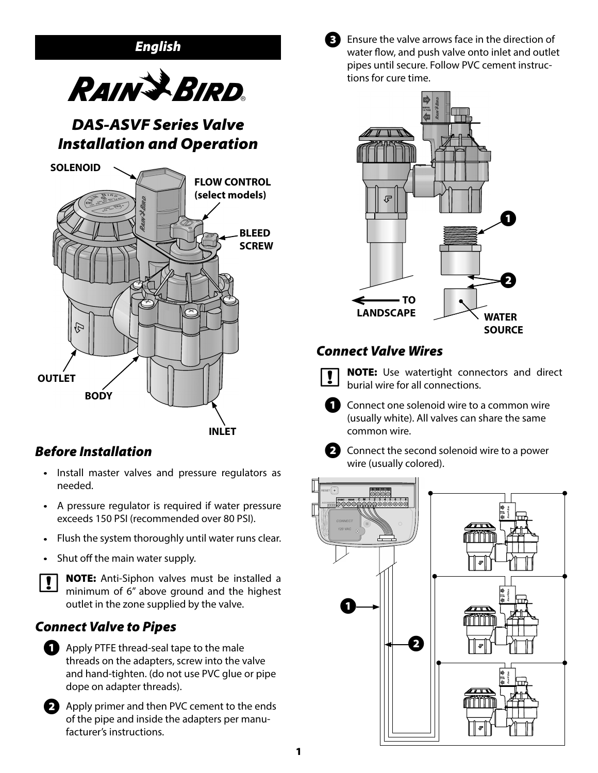

# *Before Installation*

- Install master valves and pressure regulators as needed.
- A pressure regulator is required if water pressure exceeds 150 PSI (recommended over 80 PSI).
- Flush the system thoroughly until water runs clear.
- Shut off the main water supply.



**b NOTE:** Anti-Siphon valves must be installed a minimum of 6" above ground and the highest outlet in the zone supplied by the valve.

# *Connect Valve to Pipes*



**Apply PTFE thread-seal tape to the male** threads on the adapters, screw into the valve and hand-tighten. (do not use PVC glue or pipe dope on adapter threads).



**EX** Apply primer and then PVC cement to the ends of the pipe and inside the adapters per manufacturer's instructions.



Ensure the valve arrows face in the direction of water flow, and push valve onto inlet and outlet pipes until secure. Follow PVC cement instructions for cure time.



# *Connect Valve Wires*



**NOTE:** Use watertight connectors and direct burial wire for all connections.

**A** Connect one solenoid wire to a common wire (usually white). All valves can share the same common wire.



**B** Connect the second solenoid wire to a power wire (usually colored).

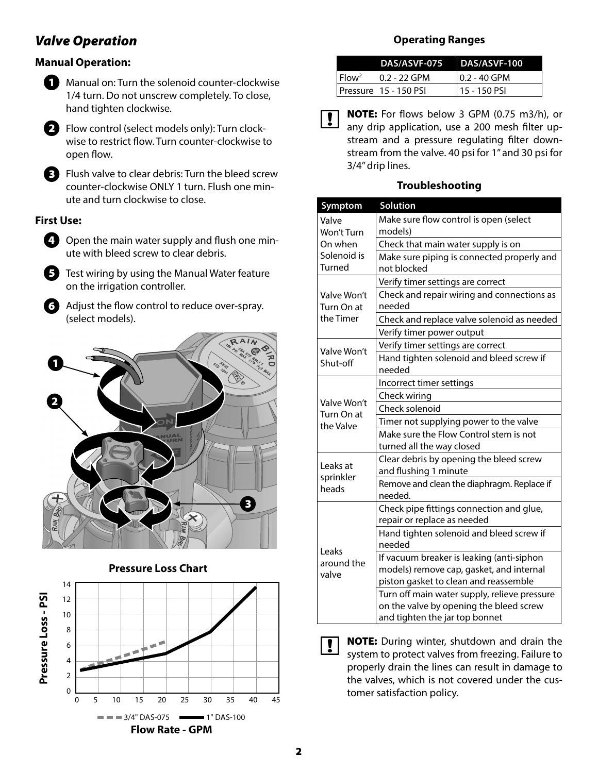## *Valve Operation*

## **Manual Operation:**



**A** Manual on: Turn the solenoid counter-clockwise 1/4 turn. Do not unscrew completely. To close, hand tighten clockwise.



 $\bullet$  Flow control (select models only): Turn clockwise to restrict flow. Turn counter-clockwise to open flow.

E Flush valve to clear debris: Turn the bleed screw counter-clockwise ONLY 1 turn. Flush one minute and turn clockwise to close.

## **First Use:**



 $\bigcirc$  Open the main water supply and flush one minute with bleed screw to clear debris.

E Test wiring by using the Manual Water feature on the irrigation controller.

**6** Adjust the flow control to reduce over-spray. (select models).



### **Pressure Loss Chart**



## **Operating Ranges**

|                   | DAS/ASVF-075 DAS/ASVF-100 |              |
|-------------------|---------------------------|--------------|
| Flow <sup>2</sup> | $0.2 - 22$ GPM            | 0.2 - 40 GPM |
|                   | Pressure 15 - 150 PSI     | 15 - 150 PSI |

**b NOTE:** For flows below 3 GPM (0.75 m3/h), or any drip application, use a 200 mesh filter upstream and a pressure regulating filter downstream from the valve. 40 psi for 1" and 30 psi for 3/4" drip lines.

#### **Troubleshooting**

| Symptom                                | Solution                                     |  |
|----------------------------------------|----------------------------------------------|--|
| Valve                                  | Make sure flow control is open (select       |  |
| Won't Turn                             | models)                                      |  |
| On when                                | Check that main water supply is on           |  |
| Solenoid is                            | Make sure piping is connected properly and   |  |
| <b>Turned</b>                          | not blocked                                  |  |
| Valve Won't<br>Turn On at<br>the Timer | Verify timer settings are correct            |  |
|                                        | Check and repair wiring and connections as   |  |
|                                        | needed                                       |  |
|                                        | Check and replace valve solenoid as needed   |  |
|                                        | Verify timer power output                    |  |
| Valve Won't<br>Shut-off                | Verify timer settings are correct            |  |
|                                        | Hand tighten solenoid and bleed screw if     |  |
|                                        | needed                                       |  |
|                                        | Incorrect timer settings                     |  |
| Valve Won't                            | Check wiring                                 |  |
| Turn On at<br>the Valve                | Check solenoid                               |  |
|                                        | Timer not supplying power to the valve       |  |
|                                        | Make sure the Flow Control stem is not       |  |
|                                        | turned all the way closed                    |  |
| Leaks at                               | Clear debris by opening the bleed screw      |  |
| sprinkler<br>heads                     | and flushing 1 minute                        |  |
|                                        | Remove and clean the diaphragm. Replace if   |  |
|                                        | needed.                                      |  |
| Leaks<br>around the<br>valve           | Check pipe fittings connection and glue,     |  |
|                                        | repair or replace as needed                  |  |
|                                        | Hand tighten solenoid and bleed screw if     |  |
|                                        | needed                                       |  |
|                                        | If vacuum breaker is leaking (anti-siphon    |  |
|                                        | models) remove cap, gasket, and internal     |  |
|                                        | piston gasket to clean and reassemble        |  |
|                                        | Turn off main water supply, relieve pressure |  |
|                                        | on the valve by opening the bleed screw      |  |
|                                        | and tighten the jar top bonnet               |  |

**b NOTE:** During winter, shutdown and drain the system to protect valves from freezing. Failure to properly drain the lines can result in damage to the valves, which is not covered under the customer satisfaction policy.